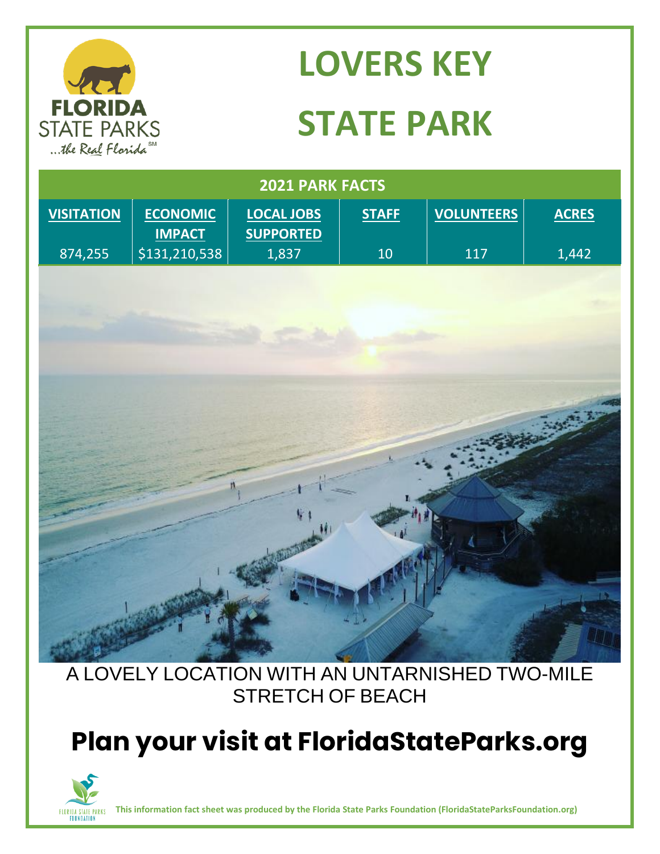

# **LOVERS KEY STATE PARK**

| 2021 PARK FACTS   |                                  |                                       |              |                   |              |
|-------------------|----------------------------------|---------------------------------------|--------------|-------------------|--------------|
| <b>VISITATION</b> | <b>ECONOMIC</b><br><b>IMPACT</b> | <b>LOCAL JOBS</b><br><b>SUPPORTED</b> | <b>STAFF</b> | <b>VOLUNTEERS</b> | <b>ACRES</b> |
| 874,255           | \$131,210,538                    | 1,837                                 | 10           | 117               | 1,442        |
|                   |                                  |                                       |              |                   |              |
|                   |                                  |                                       |              |                   |              |
|                   |                                  |                                       |              |                   |              |
|                   |                                  |                                       |              |                   |              |
|                   |                                  |                                       |              |                   |              |
|                   |                                  |                                       |              |                   |              |
|                   |                                  |                                       |              |                   |              |
|                   |                                  |                                       |              |                   |              |
|                   |                                  |                                       |              |                   |              |
|                   |                                  |                                       |              |                   |              |
|                   |                                  | V.                                    |              |                   |              |
|                   |                                  |                                       |              |                   |              |
|                   |                                  |                                       |              |                   |              |
|                   |                                  |                                       |              |                   |              |
|                   |                                  |                                       |              |                   |              |
|                   |                                  |                                       |              |                   |              |
|                   |                                  |                                       |              |                   |              |

#### A LOVELY LOCATION WITH AN UNTARNISHED TWO-MILE STRETCH OF BEACH

## **Plan your visit at FloridaStateParks.org**



**This information fact sheet was produced by the Florida State Parks Foundation (FloridaStateParksFoundation.org)**